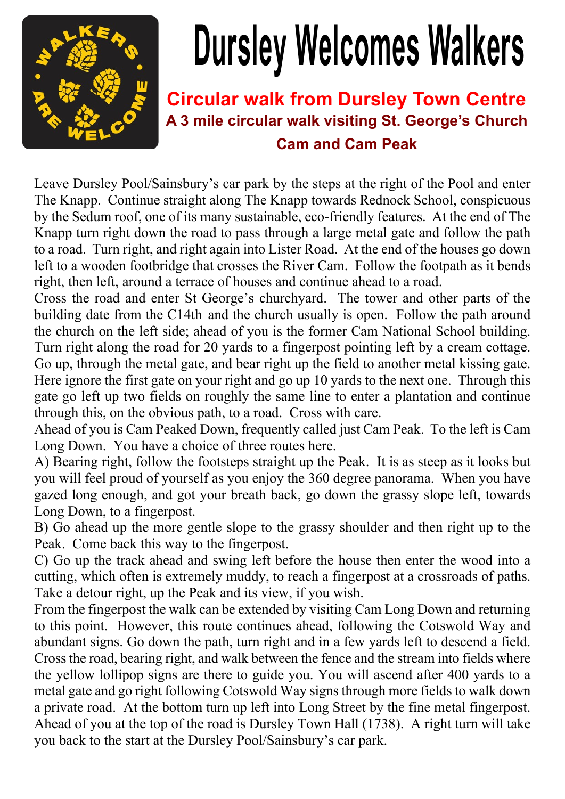

## **Dursley Welcomes Walkers**

## **Circular walk from Dursley Town Centre A 3 mile circular walk visiting St. George's Church Cam and Cam Peak**

Leave Dursley Pool/Sainsbury's car park by the steps at the right of the Pool and enter The Knapp. Continue straight along The Knapp towards Rednock School, conspicuous by the Sedum roof, one of its many sustainable, eco-friendly features. At the end of The Knapp turn right down the road to pass through a large metal gate and follow the path to a road. Turn right, and right again into Lister Road. At the end of the houses go down left to a wooden footbridge that crosses the River Cam. Follow the footpath as it bends right, then left, around a terrace of houses and continue ahead to a road.

Cross the road and enter St George's churchyard. The tower and other parts of the building date from the C14th and the church usually is open. Follow the path around the church on the left side; ahead of you is the former Cam National School building. Turn right along the road for 20 yards to a fingerpost pointing left by a cream cottage. Go up, through the metal gate, and bear right up the field to another metal kissing gate. Here ignore the first gate on your right and go up 10 yards to the next one. Through this gate go left up two fields on roughly the same line to enter a plantation and continue through this, on the obvious path, to a road. Cross with care.

Ahead of you is Cam Peaked Down, frequently called just Cam Peak. To the left is Cam Long Down. You have a choice of three routes here.

A) Bearing right, follow the footsteps straight up the Peak. It is as steep as it looks but you will feel proud of yourself as you enjoy the 360 degree panorama. When you have gazed long enough, and got your breath back, go down the grassy slope left, towards Long Down, to a fingerpost.

B) Go ahead up the more gentle slope to the grassy shoulder and then right up to the Peak. Come back this way to the fingerpost.

C) Go up the track ahead and swing left before the house then enter the wood into a cutting, which often is extremely muddy, to reach a fingerpost at a crossroads of paths. Take a detour right, up the Peak and its view, if you wish.

From the fingerpost the walk can be extended by visiting Cam Long Down and returning to this point. However, this route continues ahead, following the Cotswold Way and abundant signs. Go down the path, turn right and in a few yards left to descend a field. Cross the road, bearing right, and walk between the fence and the stream into fields where the yellow lollipop signs are there to guide you. You will ascend after 400 yards to a metal gate and go right following Cotswold Way signs through more fields to walk down a private road. At the bottom turn up left into Long Street by the fine metal fingerpost. Ahead of you at the top of the road is Dursley Town Hall (1738). A right turn will take you back to the start at the Dursley Pool/Sainsbury's car park.